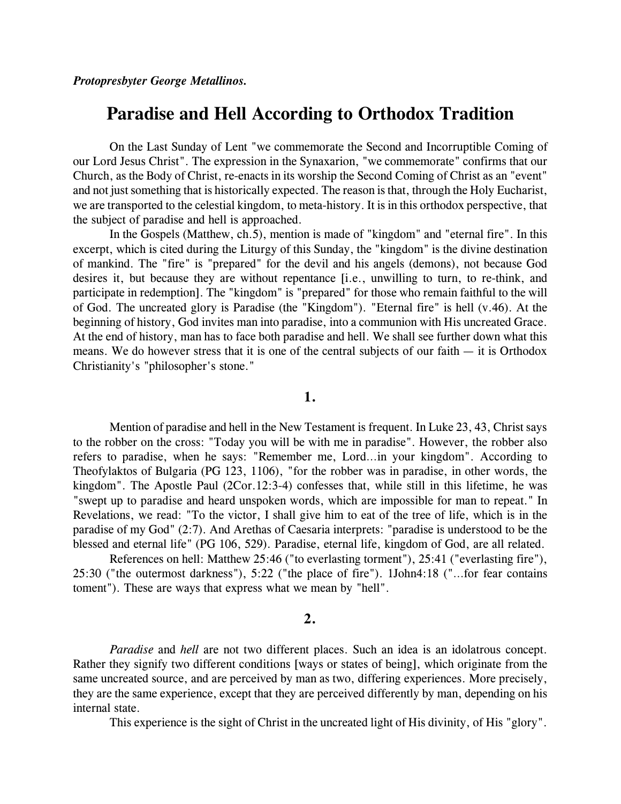# **Paradise and Hell According to Orthodox Tradition**

On the Last Sunday of Lent "we commemorate the Second and Incorruptible Coming of our Lord Jesus Christ". The expression in the Synaxarion, "we commemorate" confirms that our Church, as the Body of Christ, re-enacts in its worship the Second Coming of Christ as an "event" and not just something that is historically expected. The reason is that, through the Holy Eucharist, we are transported to the celestial kingdom, to meta-history. It is in this orthodox perspective, that the subject of paradise and hell is approached.

In the Gospels (Matthew, ch.5), mention is made of "kingdom" and "eternal fire". In this excerpt, which is cited during the Liturgy of this Sunday, the "kingdom" is the divine destination of mankind. The "fire" is "prepared" for the devil and his angels (demons), not because God desires it, but because they are without repentance [i.e., unwilling to turn, to re-think, and participate in redemption]. The "kingdom" is "prepared" for those who remain faithful to the will of God. The uncreated glory is Paradise (the "Kingdom"). "Eternal fire" is hell (v.46). At the beginning of history, God invites man into paradise, into a communion with His uncreated Grace. At the end of history, man has to face both paradise and hell. We shall see further down what this means. We do however stress that it is one of the central subjects of our faith  $-$  it is Orthodox Christianity's "philosopher's stone."

## **1.**

Mention of paradise and hell in the New Testament is frequent. In Luke 23, 43, Christ says to the robber on the cross: "Today you will be with me in paradise". However, the robber also refers to paradise, when he says: "Remember me, Lord…in your kingdom". According to Theofylaktos of Bulgaria (PG 123, 1106), "for the robber was in paradise, in other words, the kingdom". The Apostle Paul (2Cor.12:3-4) confesses that, while still in this lifetime, he was "swept up to paradise and heard unspoken words, which are impossible for man to repeat." In Revelations, we read: "To the victor, I shall give him to eat of the tree of life, which is in the paradise of my God" (2:7). And Arethas of Caesaria interprets: "paradise is understood to be the blessed and eternal life" (PG 106, 529). Paradise, eternal life, kingdom of God, are all related.

References on hell: Matthew 25:46 ("to everlasting torment"), 25:41 ("everlasting fire"), 25:30 ("the outermost darkness"), 5:22 ("the place of fire"). 1John4:18 ("…for fear contains toment"). These are ways that express what we mean by "hell".

# **2.**

*Paradise* and *hell* are not two different places. Such an idea is an idolatrous concept. Rather they signify two different conditions [ways or states of being], which originate from the same uncreated source, and are perceived by man as two, differing experiences. More precisely, they are the same experience, except that they are perceived differently by man, depending on his internal state.

This experience is the sight of Christ in the uncreated light of His divinity, of His "glory".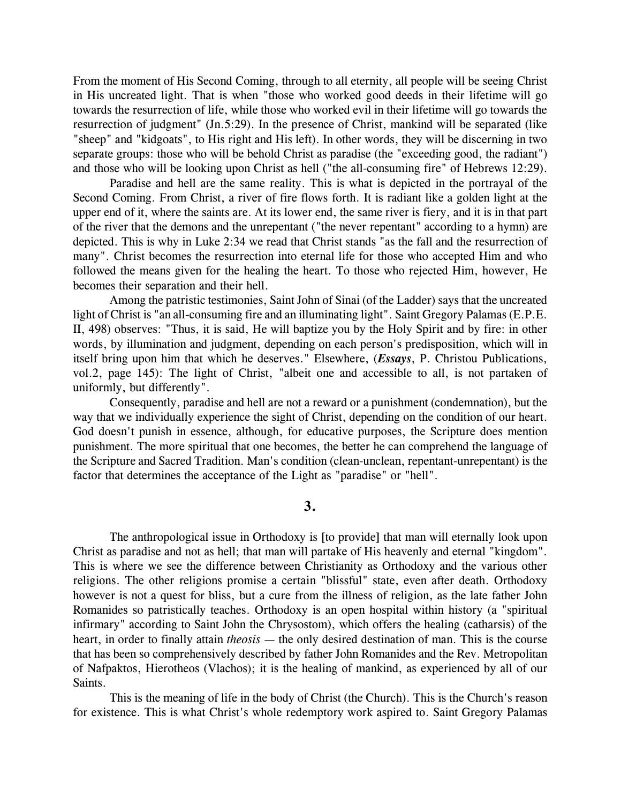From the moment of His Second Coming, through to all eternity, all people will be seeing Christ in His uncreated light. That is when "those who worked good deeds in their lifetime will go towards the resurrection of life, while those who worked evil in their lifetime will go towards the resurrection of judgment" (Jn.5:29). In the presence of Christ, mankind will be separated (like "sheep" and "kidgoats", to His right and His left). In other words, they will be discerning in two separate groups: those who will be behold Christ as paradise (the "exceeding good, the radiant") and those who will be looking upon Christ as hell ("the all-consuming fire" of Hebrews 12:29).

Paradise and hell are the same reality. This is what is depicted in the portrayal of the Second Coming. From Christ, a river of fire flows forth. It is radiant like a golden light at the upper end of it, where the saints are. At its lower end, the same river is fiery, and it is in that part of the river that the demons and the unrepentant ("the never repentant" according to a hymn) are depicted. This is why in Luke 2:34 we read that Christ stands "as the fall and the resurrection of many". Christ becomes the resurrection into eternal life for those who accepted Him and who followed the means given for the healing the heart. To those who rejected Him, however, He becomes their separation and their hell.

Among the patristic testimonies, Saint John of Sinai (of the Ladder) says that the uncreated light of Christ is "an all-consuming fire and an illuminating light". Saint Gregory Palamas (E.P.E. II, 498) observes: "Thus, it is said, He will baptize you by the Holy Spirit and by fire: in other words, by illumination and judgment, depending on each person's predisposition, which will in itself bring upon him that which he deserves." Elsewhere, (*Essays*, P. Christou Publications, vol.2, page 145): The light of Christ, "albeit one and accessible to all, is not partaken of uniformly, but differently".

Consequently, paradise and hell are not a reward or a punishment (condemnation), but the way that we individually experience the sight of Christ, depending on the condition of our heart. God doesn't punish in essence, although, for educative purposes, the Scripture does mention punishment. The more spiritual that one becomes, the better he can comprehend the language of the Scripture and Sacred Tradition. Man's condition (clean-unclean, repentant-unrepentant) is the factor that determines the acceptance of the Light as "paradise" or "hell".

## **3.**

The anthropological issue in Orthodoxy is [to provide] that man will eternally look upon Christ as paradise and not as hell; that man will partake of His heavenly and eternal "kingdom". This is where we see the difference between Christianity as Orthodoxy and the various other religions. The other religions promise a certain "blissful" state, even after death. Orthodoxy however is not a quest for bliss, but a cure from the illness of religion, as the late father John Romanides so patristically teaches. Orthodoxy is an open hospital within history (a "spiritual infirmary" according to Saint John the Chrysostom), which offers the healing (catharsis) of the heart, in order to finally attain *theosis* — the only desired destination of man. This is the course that has been so comprehensively described by father John Romanides and the Rev. Metropolitan of Nafpaktos, Hierotheos (Vlachos); it is the healing of mankind, as experienced by all of our Saints.

This is the meaning of life in the body of Christ (the Church). This is the Church's reason for existence. This is what Christ's whole redemptory work aspired to. Saint Gregory Palamas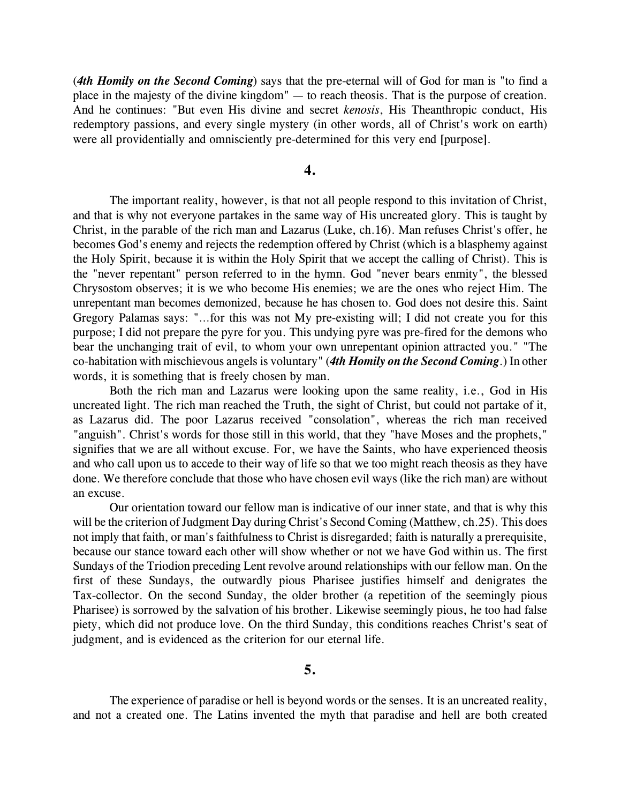(*4th Homily on the Second Coming*) says that the pre-eternal will of God for man is "to find a place in the majesty of the divine kingdom" — to reach theosis. That is the purpose of creation. And he continues: "But even His divine and secret *kenosis*, His Theanthropic conduct, His redemptory passions, and every single mystery (in other words, all of Christ's work on earth) were all providentially and omnisciently pre-determined for this very end [purpose].

#### **4.**

The important reality, however, is that not all people respond to this invitation of Christ, and that is why not everyone partakes in the same way of His uncreated glory. This is taught by Christ, in the parable of the rich man and Lazarus (Luke, ch.16). Man refuses Christ's offer, he becomes God's enemy and rejects the redemption offered by Christ (which is a blasphemy against the Holy Spirit, because it is within the Holy Spirit that we accept the calling of Christ). This is the "never repentant" person referred to in the hymn. God "never bears enmity", the blessed Chrysostom observes; it is we who become His enemies; we are the ones who reject Him. The unrepentant man becomes demonized, because he has chosen to. God does not desire this. Saint Gregory Palamas says: "…for this was not My pre-existing will; I did not create you for this purpose; I did not prepare the pyre for you. This undying pyre was pre-fired for the demons who bear the unchanging trait of evil, to whom your own unrepentant opinion attracted you." "The co-habitation with mischievous angels is voluntary" (*4th Homily on the Second Coming*.) In other words, it is something that is freely chosen by man.

Both the rich man and Lazarus were looking upon the same reality, i.e., God in His uncreated light. The rich man reached the Truth, the sight of Christ, but could not partake of it, as Lazarus did. The poor Lazarus received "consolation", whereas the rich man received "anguish". Christ's words for those still in this world, that they "have Moses and the prophets," signifies that we are all without excuse. For, we have the Saints, who have experienced theosis and who call upon us to accede to their way of life so that we too might reach theosis as they have done. We therefore conclude that those who have chosen evil ways (like the rich man) are without an excuse.

Our orientation toward our fellow man is indicative of our inner state, and that is why this will be the criterion of Judgment Day during Christ's Second Coming (Matthew, ch.25). This does not imply that faith, or man's faithfulness to Christ is disregarded; faith is naturally a prerequisite, because our stance toward each other will show whether or not we have God within us. The first Sundays of the Triodion preceding Lent revolve around relationships with our fellow man. On the first of these Sundays, the outwardly pious Pharisee justifies himself and denigrates the Tax-collector. On the second Sunday, the older brother (a repetition of the seemingly pious Pharisee) is sorrowed by the salvation of his brother. Likewise seemingly pious, he too had false piety, which did not produce love. On the third Sunday, this conditions reaches Christ's seat of judgment, and is evidenced as the criterion for our eternal life.

**5.**

The experience of paradise or hell is beyond words or the senses. It is an uncreated reality, and not a created one. The Latins invented the myth that paradise and hell are both created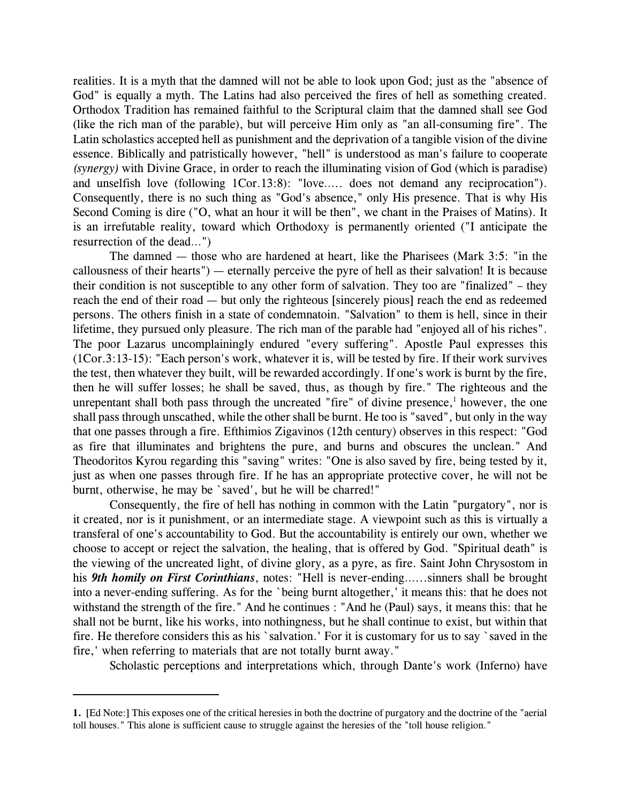realities. It is a myth that the damned will not be able to look upon God; just as the "absence of God" is equally a myth. The Latins had also perceived the fires of hell as something created. Orthodox Tradition has remained faithful to the Scriptural claim that the damned shall see God (like the rich man of the parable), but will perceive Him only as "an all-consuming fire". The Latin scholastics accepted hell as punishment and the deprivation of a tangible vision of the divine essence. Biblically and patristically however, "hell" is understood as man's failure to cooperate *(synergy)* with Divine Grace, in order to reach the illuminating vision of God (which is paradise) and unselfish love (following 1Cor.13:8): "love….. does not demand any reciprocation"). Consequently, there is no such thing as "God's absence," only His presence. That is why His Second Coming is dire ("O, what an hour it will be then", we chant in the Praises of Matins). It is an irrefutable reality, toward which Orthodoxy is permanently oriented ("I anticipate the resurrection of the dead…")

The damned — those who are hardened at heart, like the Pharisees (Mark 3:5: "in the callousness of their hearts") — eternally perceive the pyre of hell as their salvation! It is because their condition is not susceptible to any other form of salvation. They too are "finalized" – they reach the end of their road — but only the righteous [sincerely pious] reach the end as redeemed persons. The others finish in a state of condemnatoin. "Salvation" to them is hell, since in their lifetime, they pursued only pleasure. The rich man of the parable had "enjoyed all of his riches". The poor Lazarus uncomplainingly endured "every suffering". Apostle Paul expresses this (1Cor.3:13-15): "Each person's work, whatever it is, will be tested by fire. If their work survives the test, then whatever they built, will be rewarded accordingly. If one's work is burnt by the fire, then he will suffer losses; he shall be saved, thus, as though by fire." The righteous and the unrepentant shall both pass through the uncreated "fire" of divine presence, $\frac{1}{1}$  however, the one shall pass through unscathed, while the other shall be burnt. He too is "saved", but only in the way that one passes through a fire. Efthimios Zigavinos (12th century) observes in this respect: "God as fire that illuminates and brightens the pure, and burns and obscures the unclean." And Theodoritos Kyrou regarding this "saving" writes: "One is also saved by fire, being tested by it, just as when one passes through fire. If he has an appropriate protective cover, he will not be burnt, otherwise, he may be `saved', but he will be charred!"

Consequently, the fire of hell has nothing in common with the Latin "purgatory", nor is it created, nor is it punishment, or an intermediate stage. A viewpoint such as this is virtually a transferal of one's accountability to God. But the accountability is entirely our own, whether we choose to accept or reject the salvation, the healing, that is offered by God. "Spiritual death" is the viewing of the uncreated light, of divine glory, as a pyre, as fire. Saint John Chrysostom in his *9th homily on First Corinthians*, notes: "Hell is never-ending…...sinners shall be brought into a never-ending suffering. As for the `being burnt altogether,' it means this: that he does not withstand the strength of the fire." And he continues : "And he (Paul) says, it means this: that he shall not be burnt, like his works, into nothingness, but he shall continue to exist, but within that fire. He therefore considers this as his `salvation.' For it is customary for us to say `saved in the fire,' when referring to materials that are not totally burnt away."

Scholastic perceptions and interpretations which, through Dante's work (Inferno) have

**<sup>1.</sup>** [Ed Note:] This exposes one of the critical heresies in both the doctrine of purgatory and the doctrine of the "aerial toll houses." This alone is sufficient cause to struggle against the heresies of the "toll house religion."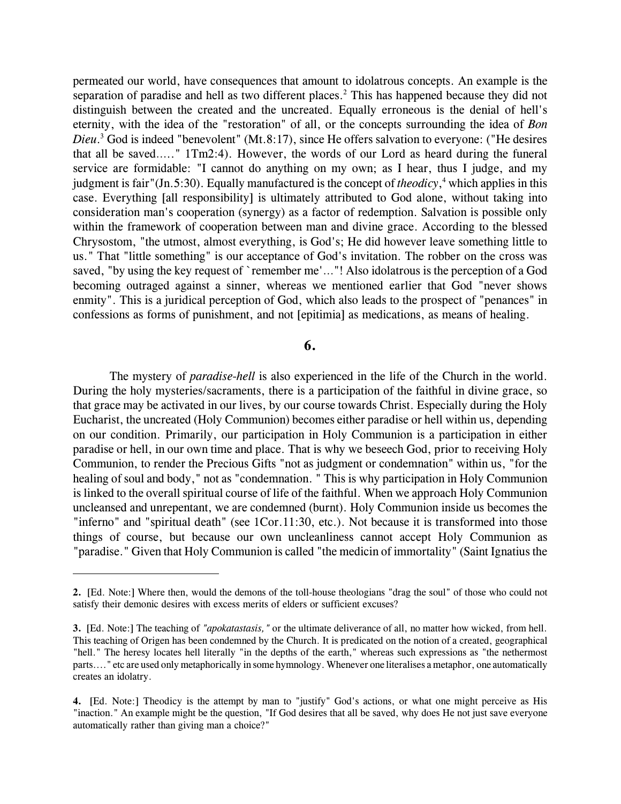permeated our world, have consequences that amount to idolatrous concepts. An example is the separation of paradise and hell as two different places.<sup>2</sup> This has happened because they did not distinguish between the created and the uncreated. Equally erroneous is the denial of hell's eternity, with the idea of the "restoration" of all, or the concepts surrounding the idea of *Bon Dieu*.<sup>3</sup> God is indeed "benevolent" (Mt.8:17), since He offers salvation to everyone: ("He desires that all be saved….." 1Tm2:4). However, the words of our Lord as heard during the funeral service are formidable: "I cannot do anything on my own; as I hear, thus I judge, and my judgment is fair"(Jn.5:30). Equally manufactured is the concept of *theodicy*,<sup>4</sup> which applies in this case. Everything [all responsibility] is ultimately attributed to God alone, without taking into consideration man's cooperation (synergy) as a factor of redemption. Salvation is possible only within the framework of cooperation between man and divine grace. According to the blessed Chrysostom, "the utmost, almost everything, is God's; He did however leave something little to us." That "little something" is our acceptance of God's invitation. The robber on the cross was saved, "by using the key request of `remember me'..."! Also idolatrous is the perception of a God becoming outraged against a sinner, whereas we mentioned earlier that God "never shows enmity". This is a juridical perception of God, which also leads to the prospect of "penances" in confessions as forms of punishment, and not [epitimia] as medications, as means of healing.

#### **6.**

The mystery of *paradise-hell* is also experienced in the life of the Church in the world. During the holy mysteries/sacraments, there is a participation of the faithful in divine grace, so that grace may be activated in our lives, by our course towards Christ. Especially during the Holy Eucharist, the uncreated (Holy Communion) becomes either paradise or hell within us, depending on our condition. Primarily, our participation in Holy Communion is a participation in either paradise or hell, in our own time and place. That is why we beseech God, prior to receiving Holy Communion, to render the Precious Gifts "not as judgment or condemnation" within us, "for the healing of soul and body," not as "condemnation. " This is why participation in Holy Communion is linked to the overall spiritual course of life of the faithful. When we approach Holy Communion uncleansed and unrepentant, we are condemned (burnt). Holy Communion inside us becomes the "inferno" and "spiritual death" (see 1Cor.11:30, etc.). Not because it is transformed into those things of course, but because our own uncleanliness cannot accept Holy Communion as "paradise." Given that Holy Communion is called "the medicin of immortality" (Saint Ignatius the

**<sup>2.</sup>** [Ed. Note:] Where then, would the demons of the toll-house theologians "drag the soul" of those who could not satisfy their demonic desires with excess merits of elders or sufficient excuses?

**<sup>3.</sup>** [Ed. Note:] The teaching of *"apokatastasis,"* or the ultimate deliverance of all, no matter how wicked, from hell. This teaching of Origen has been condemned by the Church. It is predicated on the notion of a created, geographical "hell." The heresy locates hell literally "in the depths of the earth," whereas such expressions as "the nethermost parts...." etc are used only metaphorically in some hymnology. Whenever one literalises a metaphor, one automatically creates an idolatry.

**<sup>4.</sup>** [Ed. Note:] Theodicy is the attempt by man to "justify" God's actions, or what one might perceive as His "inaction." An example might be the question, "If God desires that all be saved, why does He not just save everyone automatically rather than giving man a choice?"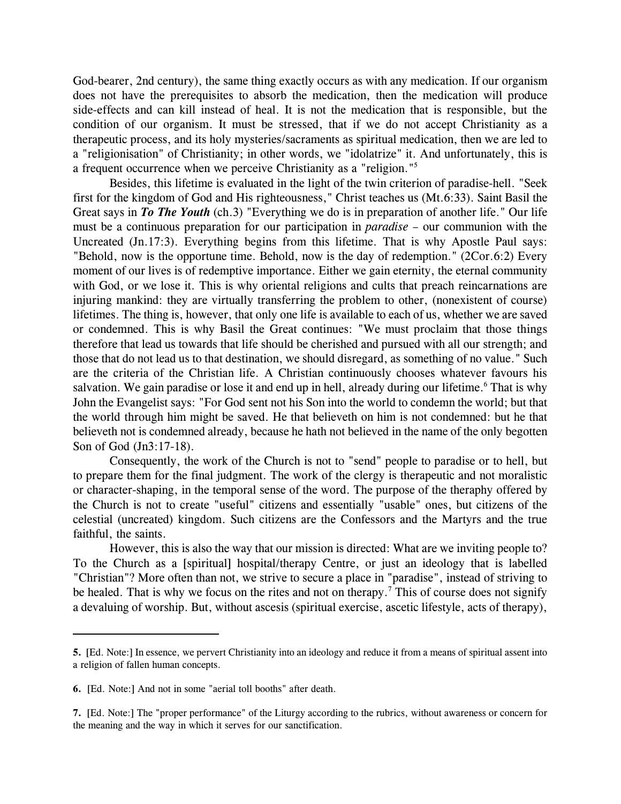God-bearer, 2nd century), the same thing exactly occurs as with any medication. If our organism does not have the prerequisites to absorb the medication, then the medication will produce side-effects and can kill instead of heal. It is not the medication that is responsible, but the condition of our organism. It must be stressed, that if we do not accept Christianity as a therapeutic process, and its holy mysteries/sacraments as spiritual medication, then we are led to a "religionisation" of Christianity; in other words, we "idolatrize" it. And unfortunately, this is a frequent occurrence when we perceive Christianity as a "religion."<sup>5</sup>

Besides, this lifetime is evaluated in the light of the twin criterion of paradise-hell. "Seek first for the kingdom of God and His righteousness," Christ teaches us (Mt.6:33). Saint Basil the Great says in *To The Youth* (ch.3) "Everything we do is in preparation of another life." Our life must be a continuous preparation for our participation in *paradise* – our communion with the Uncreated (Jn.17:3). Everything begins from this lifetime. That is why Apostle Paul says: "Behold, now is the opportune time. Behold, now is the day of redemption." (2Cor.6:2) Every moment of our lives is of redemptive importance. Either we gain eternity, the eternal community with God, or we lose it. This is why oriental religions and cults that preach reincarnations are injuring mankind: they are virtually transferring the problem to other, (nonexistent of course) lifetimes. The thing is, however, that only one life is available to each of us, whether we are saved or condemned. This is why Basil the Great continues: "We must proclaim that those things therefore that lead us towards that life should be cherished and pursued with all our strength; and those that do not lead us to that destination, we should disregard, as something of no value." Such are the criteria of the Christian life. A Christian continuously chooses whatever favours his salvation. We gain paradise or lose it and end up in hell, already during our lifetime.<sup>6</sup> That is why John the Evangelist says: "For God sent not his Son into the world to condemn the world; but that the world through him might be saved. He that believeth on him is not condemned: but he that believeth not is condemned already, because he hath not believed in the name of the only begotten Son of God (Jn3:17-18).

Consequently, the work of the Church is not to "send" people to paradise or to hell, but to prepare them for the final judgment. The work of the clergy is therapeutic and not moralistic or character-shaping, in the temporal sense of the word. The purpose of the theraphy offered by the Church is not to create "useful" citizens and essentially "usable" ones, but citizens of the celestial (uncreated) kingdom. Such citizens are the Confessors and the Martyrs and the true faithful, the saints.

However, this is also the way that our mission is directed: What are we inviting people to? To the Church as a [spiritual] hospital/therapy Centre, or just an ideology that is labelled "Christian"? More often than not, we strive to secure a place in "paradise", instead of striving to be healed. That is why we focus on the rites and not on therapy.<sup>7</sup> This of course does not signify a devaluing of worship. But, without ascesis (spiritual exercise, ascetic lifestyle, acts of therapy),

**<sup>5.</sup>** [Ed. Note:] In essence, we pervert Christianity into an ideology and reduce it from a means of spiritual assent into a religion of fallen human concepts.

**<sup>6.</sup>** [Ed. Note:] And not in some "aerial toll booths" after death.

**<sup>7.</sup>** [Ed. Note:] The "proper performance" of the Liturgy according to the rubrics, without awareness or concern for the meaning and the way in which it serves for our sanctification.